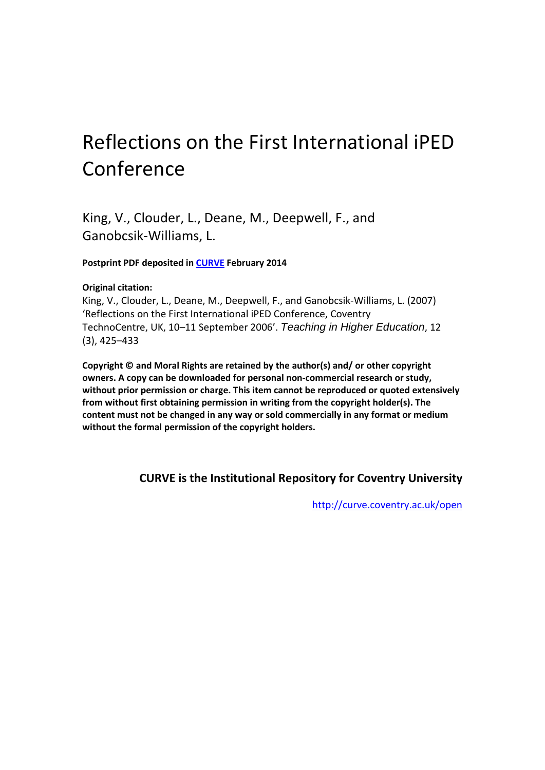# Reflections on the First International iPED Conference

King, V., Clouder, L., Deane, M., Deepwell, F., and Ganobcsik‐Williams, L.

#### **Postprint PDF deposited in [CURVE](http://curve.coventry.ac.uk/open) February 2014**

#### **Original citation:**

King, V., Clouder, L., Deane, M., Deepwell, F., and Ganobcsik‐Williams, L. (2007) 'Reflections on the First International iPED Conference, Coventry TechnoCentre, UK, 10–11 September 2006'. *Teaching in Higher Education*, 12 (3), 425–433

**Copyright © and Moral Rights are retained by the author(s) and/ or other copyright owners. A copy can be downloaded for personal non-commercial research or study, without prior permission or charge. This item cannot be reproduced or quoted extensively from without first obtaining permission in writing from the copyright holder(s). The content must not be changed in any way or sold commercially in any format or medium without the formal permission of the copyright holders.** 

# **CURVE is the Institutional Repository for Coventry University**

<http://curve.coventry.ac.uk/open>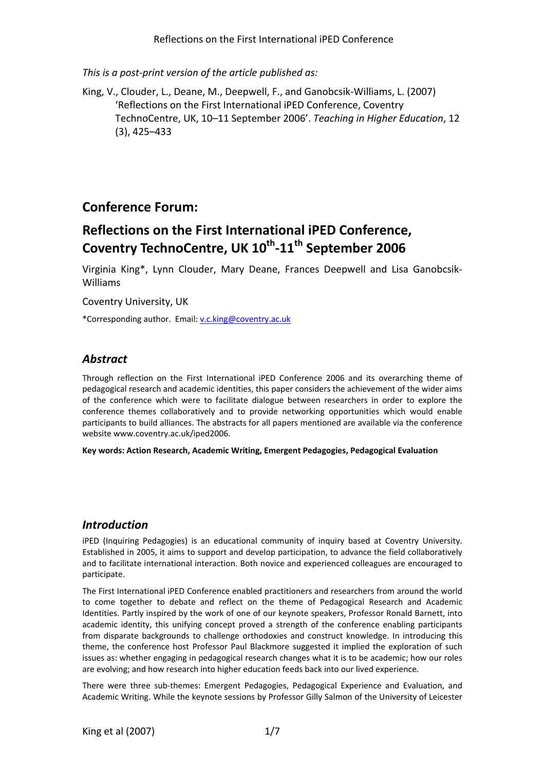*This is a post‐print version of the article published as:*

King, V., Clouder, L., Deane, M., Deepwell, F., and Ganobcsik‐Williams, L. (2007) 'Reflections on the First International iPED Conference, Coventry TechnoCentre, UK, 10–11 September 2006'. *Teaching in Higher Education*, 12 (3), 425–433

# **Conference Forum:**

# **Reflections on the First International iPED Conference, Coventry TechnoCentre, UK 10th‐11th September 2006**

Virginia King\*, Lynn Clouder, Mary Deane, Frances Deepwell and Lisa Ganobcsik‐ Williams

Coventry University, UK

\*Corresponding author. Email: v.c.king@coventry.ac.uk

# *Abstract*

Through reflection on the First International iPED Conference 2006 and its overarching theme of pedagogical research and academic identities, this paper considers the achievement of the wider aims of the conference which were to facilitate dialogue between researchers in order to explore the conference themes collaboratively and to provide networking opportunities which would enable participants to build alliances. The abstracts for all papers mentioned are available via the conference website www.coventry.ac.uk/iped2006.

**Key words: Action Research, Academic Writing, Emergent Pedagogies, Pedagogical Evaluation** 

# *Introduction*

iPED (Inquiring Pedagogies) is an educational community of inquiry based at Coventry University. Established in 2005, it aims to support and develop participation, to advance the field collaboratively and to facilitate international interaction. Both novice and experienced colleagues are encouraged to participate.

The First International iPED Conference enabled practitioners and researchers from around the world to come together to debate and reflect on the theme of Pedagogical Research and Academic Identities. Partly inspired by the work of one of our keynote speakers, Professor Ronald Barnett, into academic identity, this unifying concept proved a strength of the conference enabling participants from disparate backgrounds to challenge orthodoxies and construct knowledge. In introducing this theme, the conference host Professor Paul Blackmore suggested it implied the exploration of such issues as: whether engaging in pedagogical research changes what it is to be academic; how our roles are evolving; and how research into higher education feeds back into our lived experience*.*

There were three sub-themes: Emergent Pedagogies, Pedagogical Experience and Evaluation, and Academic Writing. While the keynote sessions by Professor Gilly Salmon of the University of Leicester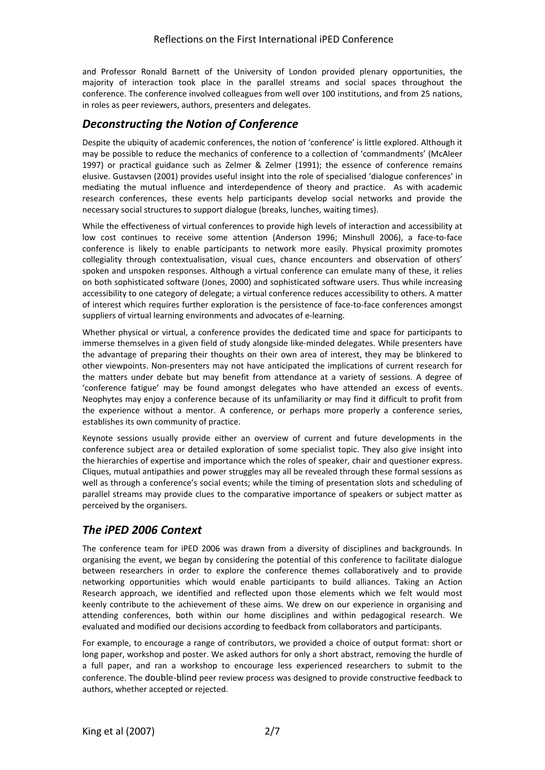and Professor Ronald Barnett of the University of London provided plenary opportunities, the majority of interaction took place in the parallel streams and social spaces throughout the conference. The conference involved colleagues from well over 100 institutions, and from 25 nations, in roles as peer reviewers, authors, presenters and delegates.

# *Deconstructing the Notion of Conference*

Despite the ubiquity of academic conferences, the notion of 'conference' is little explored. Although it may be possible to reduce the mechanics of conference to a collection of 'commandments' (McAleer 1997) or practical guidance such as Zelmer & Zelmer (1991); the essence of conference remains elusive. Gustavsen (2001) provides useful insight into the role of specialised 'dialogue conferences' in mediating the mutual influence and interdependence of theory and practice. As with academic research conferences, these events help participants develop social networks and provide the necessary social structures to support dialogue (breaks, lunches, waiting times).

While the effectiveness of virtual conferences to provide high levels of interaction and accessibility at low cost continues to receive some attention (Anderson 1996; Minshull 2006), a face‐to‐face conference is likely to enable participants to network more easily. Physical proximity promotes collegiality through contextualisation, visual cues, chance encounters and observation of others' spoken and unspoken responses. Although a virtual conference can emulate many of these, it relies on both sophisticated software (Jones, 2000) and sophisticated software users. Thus while increasing accessibility to one category of delegate; a virtual conference reduces accessibility to others. A matter of interest which requires further exploration is the persistence of face-to-face conferences amongst suppliers of virtual learning environments and advocates of e‐learning.

Whether physical or virtual, a conference provides the dedicated time and space for participants to immerse themselves in a given field of study alongside like-minded delegates. While presenters have the advantage of preparing their thoughts on their own area of interest, they may be blinkered to other viewpoints. Non‐presenters may not have anticipated the implications of current research for the matters under debate but may benefit from attendance at a variety of sessions. A degree of 'conference fatigue' may be found amongst delegates who have attended an excess of events. Neophytes may enjoy a conference because of its unfamiliarity or may find it difficult to profit from the experience without a mentor. A conference, or perhaps more properly a conference series, establishes its own community of practice.

Keynote sessions usually provide either an overview of current and future developments in the conference subject area or detailed exploration of some specialist topic. They also give insight into the hierarchies of expertise and importance which the roles of speaker, chair and questioner express. Cliques, mutual antipathies and power struggles may all be revealed through these formal sessions as well as through a conference's social events; while the timing of presentation slots and scheduling of parallel streams may provide clues to the comparative importance of speakers or subject matter as perceived by the organisers.

# *The iPED 2006 Context*

The conference team for iPED 2006 was drawn from a diversity of disciplines and backgrounds. In organising the event, we began by considering the potential of this conference to facilitate dialogue between researchers in order to explore the conference themes collaboratively and to provide networking opportunities which would enable participants to build alliances. Taking an Action Research approach, we identified and reflected upon those elements which we felt would most keenly contribute to the achievement of these aims. We drew on our experience in organising and attending conferences, both within our home disciplines and within pedagogical research. We evaluated and modified our decisions according to feedback from collaborators and participants.

For example, to encourage a range of contributors, we provided a choice of output format: short or long paper, workshop and poster. We asked authors for only a short abstract, removing the hurdle of a full paper, and ran a workshop to encourage less experienced researchers to submit to the conference. The double‐blind peer review process was designed to provide constructive feedback to authors, whether accepted or rejected.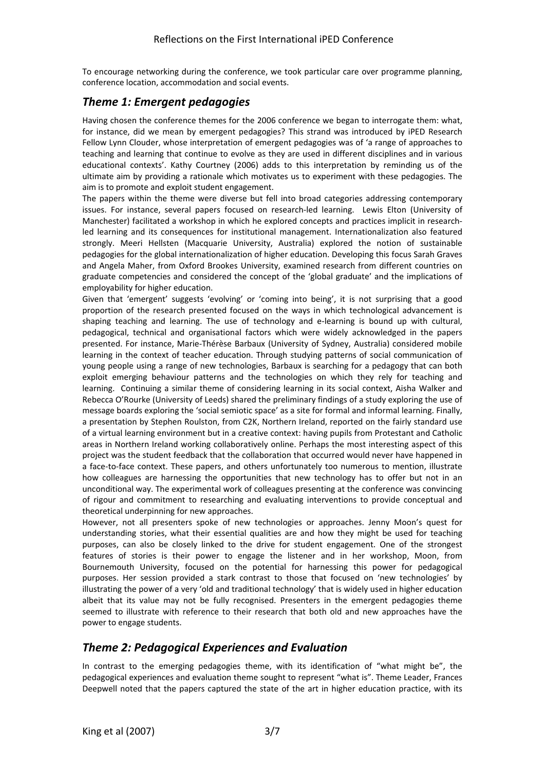To encourage networking during the conference, we took particular care over programme planning, conference location, accommodation and social events.

# *Theme 1: Emergent pedagogies*

Having chosen the conference themes for the 2006 conference we began to interrogate them: what, for instance, did we mean by emergent pedagogies? This strand was introduced by iPED Research Fellow Lynn Clouder, whose interpretation of emergent pedagogies was of 'a range of approaches to teaching and learning that continue to evolve as they are used in different disciplines and in various educational contexts'. Kathy Courtney (2006) adds to this interpretation by reminding us of the ultimate aim by providing a rationale which motivates us to experiment with these pedagogies. The aim is to promote and exploit student engagement.

The papers within the theme were diverse but fell into broad categories addressing contemporary issues. For instance, several papers focused on research-led learning. Lewis Elton (University of Manchester) facilitated a workshop in which he explored concepts and practices implicit in research‐ led learning and its consequences for institutional management. Internationalization also featured strongly. Meeri Hellsten (Macquarie University, Australia) explored the notion of sustainable pedagogies for the global internationalization of higher education. Developing this focus Sarah Graves and Angela Maher, from Oxford Brookes University, examined research from different countries on graduate competencies and considered the concept of the 'global graduate' and the implications of employability for higher education.

Given that 'emergent' suggests 'evolving' or 'coming into being', it is not surprising that a good proportion of the research presented focused on the ways in which technological advancement is shaping teaching and learning. The use of technology and e-learning is bound up with cultural, pedagogical, technical and organisational factors which were widely acknowledged in the papers presented. For instance, Marie‐Thérèse Barbaux (University of Sydney, Australia) considered mobile learning in the context of teacher education. Through studying patterns of social communication of young people using a range of new technologies, Barbaux is searching for a pedagogy that can both exploit emerging behaviour patterns and the technologies on which they rely for teaching and learning. Continuing a similar theme of considering learning in its social context, Aisha Walker and Rebecca O'Rourke (University of Leeds) shared the preliminary findings of a study exploring the use of message boards exploring the 'social semiotic space' as a site for formal and informal learning. Finally, a presentation by Stephen Roulston, from C2K, Northern Ireland, reported on the fairly standard use of a virtual learning environment but in a creative context: having pupils from Protestant and Catholic areas in Northern Ireland working collaboratively online. Perhaps the most interesting aspect of this project was the student feedback that the collaboration that occurred would never have happened in a face‐to‐face context. These papers, and others unfortunately too numerous to mention, illustrate how colleagues are harnessing the opportunities that new technology has to offer but not in an unconditional way. The experimental work of colleagues presenting at the conference was convincing of rigour and commitment to researching and evaluating interventions to provide conceptual and theoretical underpinning for new approaches.

However, not all presenters spoke of new technologies or approaches. Jenny Moon's quest for understanding stories, what their essential qualities are and how they might be used for teaching purposes, can also be closely linked to the drive for student engagement. One of the strongest features of stories is their power to engage the listener and in her workshop, Moon, from Bournemouth University, focused on the potential for harnessing this power for pedagogical purposes. Her session provided a stark contrast to those that focused on 'new technologies' by illustrating the power of a very 'old and traditional technology' that is widely used in higher education albeit that its value may not be fully recognised. Presenters in the emergent pedagogies theme seemed to illustrate with reference to their research that both old and new approaches have the power to engage students.

# *Theme 2: Pedagogical Experiences and Evaluation*

In contrast to the emerging pedagogies theme, with its identification of "what might be", the pedagogical experiences and evaluation theme sought to represent "what is". Theme Leader, Frances Deepwell noted that the papers captured the state of the art in higher education practice, with its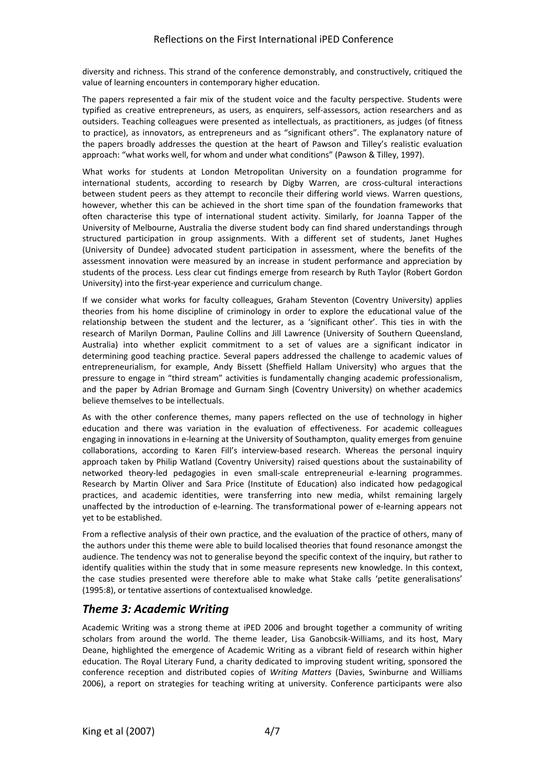diversity and richness. This strand of the conference demonstrably, and constructively, critiqued the value of learning encounters in contemporary higher education.

The papers represented a fair mix of the student voice and the faculty perspective. Students were typified as creative entrepreneurs, as users, as enquirers, self-assessors, action researchers and as outsiders. Teaching colleagues were presented as intellectuals, as practitioners, as judges (of fitness to practice), as innovators, as entrepreneurs and as "significant others". The explanatory nature of the papers broadly addresses the question at the heart of Pawson and Tilley's realistic evaluation approach: "what works well, for whom and under what conditions" (Pawson & Tilley, 1997).

What works for students at London Metropolitan University on a foundation programme for international students, according to research by Digby Warren, are cross-cultural interactions between student peers as they attempt to reconcile their differing world views. Warren questions, however, whether this can be achieved in the short time span of the foundation frameworks that often characterise this type of international student activity. Similarly, for Joanna Tapper of the University of Melbourne, Australia the diverse student body can find shared understandings through structured participation in group assignments. With a different set of students, Janet Hughes (University of Dundee) advocated student participation in assessment, where the benefits of the assessment innovation were measured by an increase in student performance and appreciation by students of the process. Less clear cut findings emerge from research by Ruth Taylor (Robert Gordon University) into the first‐year experience and curriculum change.

If we consider what works for faculty colleagues, Graham Steventon (Coventry University) applies theories from his home discipline of criminology in order to explore the educational value of the relationship between the student and the lecturer, as a 'significant other'. This ties in with the research of Marilyn Dorman, Pauline Collins and Jill Lawrence (University of Southern Queensland, Australia) into whether explicit commitment to a set of values are a significant indicator in determining good teaching practice. Several papers addressed the challenge to academic values of entrepreneurialism, for example, Andy Bissett (Sheffield Hallam University) who argues that the pressure to engage in "third stream" activities is fundamentally changing academic professionalism, and the paper by Adrian Bromage and Gurnam Singh (Coventry University) on whether academics believe themselves to be intellectuals.

As with the other conference themes, many papers reflected on the use of technology in higher education and there was variation in the evaluation of effectiveness. For academic colleagues engaging in innovations in e-learning at the University of Southampton, quality emerges from genuine collaborations, according to Karen Fill's interview‐based research. Whereas the personal inquiry approach taken by Philip Watland (Coventry University) raised questions about the sustainability of networked theory‐led pedagogies in even small‐scale entrepreneurial e‐learning programmes. Research by Martin Oliver and Sara Price (Institute of Education) also indicated how pedagogical practices, and academic identities, were transferring into new media, whilst remaining largely unaffected by the introduction of e‐learning. The transformational power of e‐learning appears not yet to be established.

From a reflective analysis of their own practice, and the evaluation of the practice of others, many of the authors under this theme were able to build localised theories that found resonance amongst the audience. The tendency was not to generalise beyond the specific context of the inquiry, but rather to identify qualities within the study that in some measure represents new knowledge. In this context, the case studies presented were therefore able to make what Stake calls 'petite generalisations' (1995:8), or tentative assertions of contextualised knowledge.

# *Theme 3: Academic Writing*

Academic Writing was a strong theme at iPED 2006 and brought together a community of writing scholars from around the world. The theme leader, Lisa Ganobcsik‐Williams, and its host, Mary Deane, highlighted the emergence of Academic Writing as a vibrant field of research within higher education. The Royal Literary Fund, a charity dedicated to improving student writing, sponsored the conference reception and distributed copies of *Writing Matters* (Davies, Swinburne and Williams 2006), a report on strategies for teaching writing at university. Conference participants were also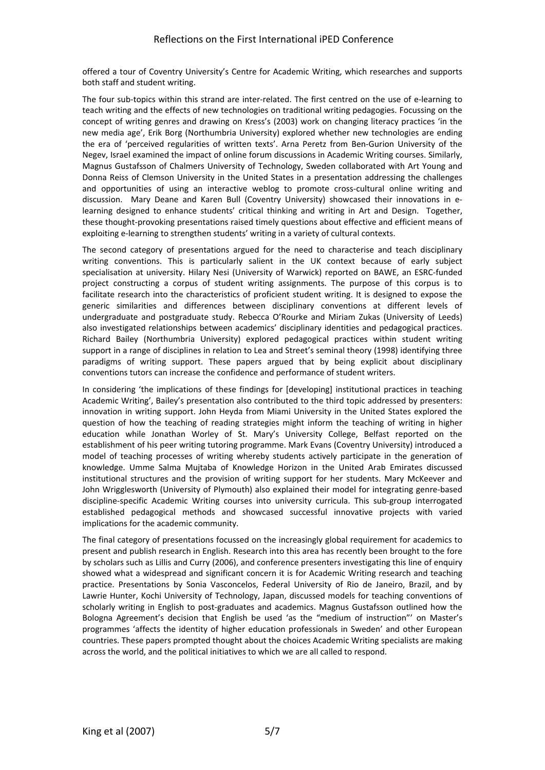offered a tour of Coventry University's Centre for Academic Writing, which researches and supports both staff and student writing.

The four sub-topics within this strand are inter-related. The first centred on the use of e-learning to teach writing and the effects of new technologies on traditional writing pedagogies. Focussing on the concept of writing genres and drawing on Kress's (2003) work on changing literacy practices 'in the new media age', Erik Borg (Northumbria University) explored whether new technologies are ending the era of 'perceived regularities of written texts'. Arna Peretz from Ben‐Gurion University of the Negev, Israel examined the impact of online forum discussions in Academic Writing courses. Similarly, Magnus Gustafsson of Chalmers University of Technology, Sweden collaborated with Art Young and Donna Reiss of Clemson University in the United States in a presentation addressing the challenges and opportunities of using an interactive weblog to promote cross-cultural online writing and discussion. Mary Deane and Karen Bull (Coventry University) showcased their innovations in elearning designed to enhance students' critical thinking and writing in Art and Design. Together, these thought‐provoking presentations raised timely questions about effective and efficient means of exploiting e‐learning to strengthen students' writing in a variety of cultural contexts.

The second category of presentations argued for the need to characterise and teach disciplinary writing conventions. This is particularly salient in the UK context because of early subject specialisation at university. Hilary Nesi (University of Warwick) reported on BAWE, an ESRC‐funded project constructing a corpus of student writing assignments. The purpose of this corpus is to facilitate research into the characteristics of proficient student writing. It is designed to expose the generic similarities and differences between disciplinary conventions at different levels of undergraduate and postgraduate study. Rebecca O'Rourke and Miriam Zukas (University of Leeds) also investigated relationships between academics' disciplinary identities and pedagogical practices. Richard Bailey (Northumbria University) explored pedagogical practices within student writing support in a range of disciplines in relation to Lea and Street's seminal theory (1998) identifying three paradigms of writing support. These papers argued that by being explicit about disciplinary conventions tutors can increase the confidence and performance of student writers.

In considering 'the implications of these findings for [developing] institutional practices in teaching Academic Writing', Bailey's presentation also contributed to the third topic addressed by presenters: innovation in writing support. John Heyda from Miami University in the United States explored the question of how the teaching of reading strategies might inform the teaching of writing in higher education while Jonathan Worley of St. Mary's University College, Belfast reported on the establishment of his peer writing tutoring programme. Mark Evans (Coventry University) introduced a model of teaching processes of writing whereby students actively participate in the generation of knowledge. Umme Salma Mujtaba of Knowledge Horizon in the United Arab Emirates discussed institutional structures and the provision of writing support for her students. Mary McKeever and John Wrigglesworth (University of Plymouth) also explained their model for integrating genre‐based discipline‐specific Academic Writing courses into university curricula. This sub‐group interrogated established pedagogical methods and showcased successful innovative projects with varied implications for the academic community.

The final category of presentations focussed on the increasingly global requirement for academics to present and publish research in English. Research into this area has recently been brought to the fore by scholars such as Lillis and Curry (2006), and conference presenters investigating this line of enquiry showed what a widespread and significant concern it is for Academic Writing research and teaching practice. Presentations by Sonia Vasconcelos, Federal University of Rio de Janeiro, Brazil, and by Lawrie Hunter, Kochi University of Technology, Japan, discussed models for teaching conventions of scholarly writing in English to post-graduates and academics. Magnus Gustafsson outlined how the Bologna Agreement's decision that English be used 'as the "medium of instruction"' on Master's programmes 'affects the identity of higher education professionals in Sweden' and other European countries. These papers prompted thought about the choices Academic Writing specialists are making across the world, and the political initiatives to which we are all called to respond.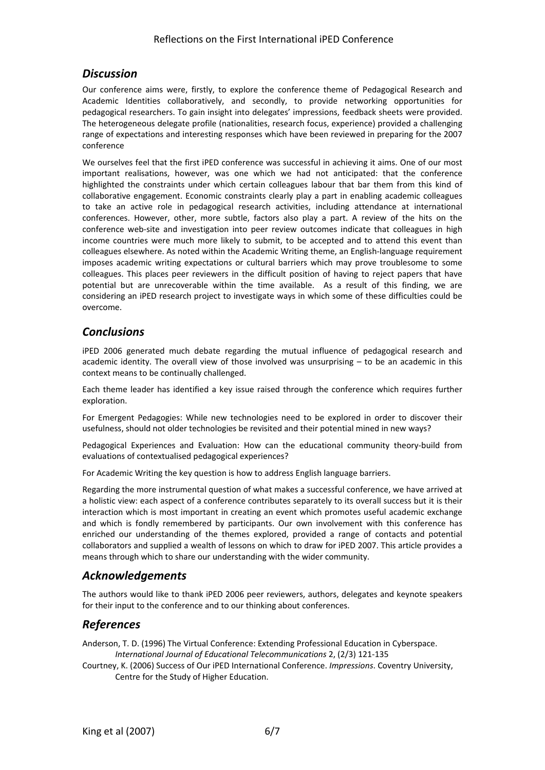# *Discussion*

Our conference aims were, firstly, to explore the conference theme of Pedagogical Research and Academic Identities collaboratively, and secondly, to provide networking opportunities for pedagogical researchers. To gain insight into delegates' impressions, feedback sheets were provided. The heterogeneous delegate profile (nationalities, research focus, experience) provided a challenging range of expectations and interesting responses which have been reviewed in preparing for the 2007 conference

We ourselves feel that the first iPED conference was successful in achieving it aims. One of our most important realisations, however, was one which we had not anticipated: that the conference highlighted the constraints under which certain colleagues labour that bar them from this kind of collaborative engagement. Economic constraints clearly play a part in enabling academic colleagues to take an active role in pedagogical research activities, including attendance at international conferences. However, other, more subtle, factors also play a part. A review of the hits on the conference web-site and investigation into peer review outcomes indicate that colleagues in high income countries were much more likely to submit, to be accepted and to attend this event than colleagues elsewhere. As noted within the Academic Writing theme, an English‐language requirement imposes academic writing expectations or cultural barriers which may prove troublesome to some colleagues. This places peer reviewers in the difficult position of having to reject papers that have potential but are unrecoverable within the time available. As a result of this finding, we are considering an iPED research project to investigate ways in which some of these difficulties could be overcome.

## *Conclusions*

iPED 2006 generated much debate regarding the mutual influence of pedagogical research and academic identity. The overall view of those involved was unsurprising – to be an academic in this context means to be continually challenged.

Each theme leader has identified a key issue raised through the conference which requires further exploration.

For Emergent Pedagogies: While new technologies need to be explored in order to discover their usefulness, should not older technologies be revisited and their potential mined in new ways?

Pedagogical Experiences and Evaluation: How can the educational community theory‐build from evaluations of contextualised pedagogical experiences?

For Academic Writing the key question is how to address English language barriers.

Regarding the more instrumental question of what makes a successful conference, we have arrived at a holistic view: each aspect of a conference contributes separately to its overall success but it is their interaction which is most important in creating an event which promotes useful academic exchange and which is fondly remembered by participants. Our own involvement with this conference has enriched our understanding of the themes explored, provided a range of contacts and potential collaborators and supplied a wealth of lessons on which to draw for iPED 2007. This article provides a means through which to share our understanding with the wider community.

# *Acknowledgements*

The authors would like to thank iPED 2006 peer reviewers, authors, delegates and keynote speakers for their input to the conference and to our thinking about conferences.

### *References*

Anderson, T. D. (1996) The Virtual Conference: Extending Professional Education in Cyberspace. *International Journal of Educational Telecommunications* 2, (2/3) 121‐135

Courtney, K. (2006) Success of Our iPED International Conference. *Impressions*. Coventry University, Centre for the Study of Higher Education.